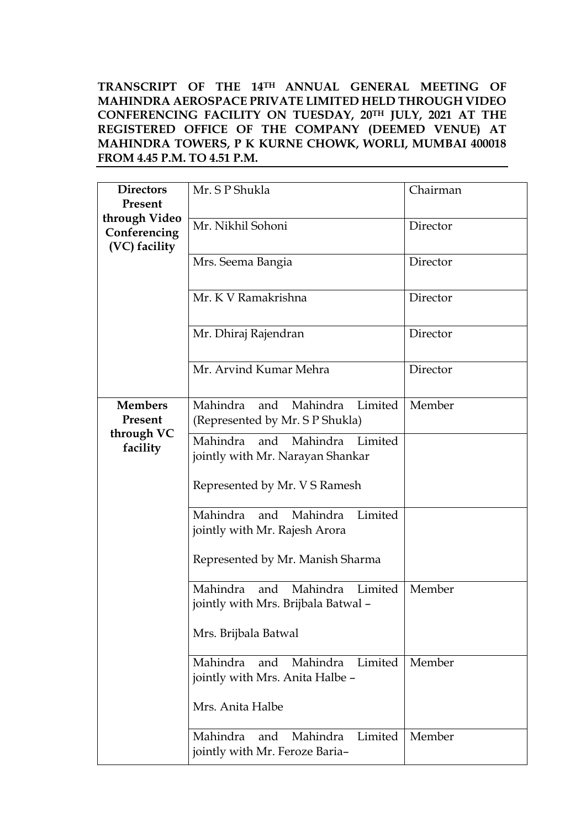**TRANSCRIPT OF THE 14TH ANNUAL GENERAL MEETING OF MAHINDRA AEROSPACE PRIVATE LIMITED HELD THROUGH VIDEO CONFERENCING FACILITY ON TUESDAY, 20TH JULY, 2021 AT THE REGISTERED OFFICE OF THE COMPANY (DEEMED VENUE) AT MAHINDRA TOWERS, P K KURNE CHOWK, WORLI, MUMBAI 400018 FROM 4.45 P.M. TO 4.51 P.M.** 

| <b>Directors</b><br>Present                         | Mr. S P Shukla                                                             | Chairman |
|-----------------------------------------------------|----------------------------------------------------------------------------|----------|
| through Video<br>Conferencing<br>(VC) facility      | Mr. Nikhil Sohoni                                                          | Director |
|                                                     | Mrs. Seema Bangia                                                          | Director |
|                                                     | Mr. K V Ramakrishna                                                        | Director |
|                                                     | Mr. Dhiraj Rajendran                                                       | Director |
|                                                     | Mr. Arvind Kumar Mehra                                                     | Director |
| <b>Members</b><br>Present<br>through VC<br>facility | Mahindra and Mahindra Limited<br>(Represented by Mr. S P Shukla)           | Member   |
|                                                     | Mahindra and Mahindra Limited<br>jointly with Mr. Narayan Shankar          |          |
|                                                     | Represented by Mr. V S Ramesh                                              |          |
|                                                     | Limited<br>Mahindra and Mahindra<br>jointly with Mr. Rajesh Arora          |          |
|                                                     | Represented by Mr. Manish Sharma                                           |          |
|                                                     | Mahindra Limited<br>Mahindra<br>and<br>jointly with Mrs. Brijbala Batwal - | Member   |
|                                                     | Mrs. Brijbala Batwal                                                       |          |
|                                                     | Mahindra Limited<br>Mahindra and<br>jointly with Mrs. Anita Halbe -        | Member   |
|                                                     | Mrs. Anita Halbe                                                           |          |
|                                                     | and Mahindra Limited<br>Mahindra<br>jointly with Mr. Feroze Baria-         | Member   |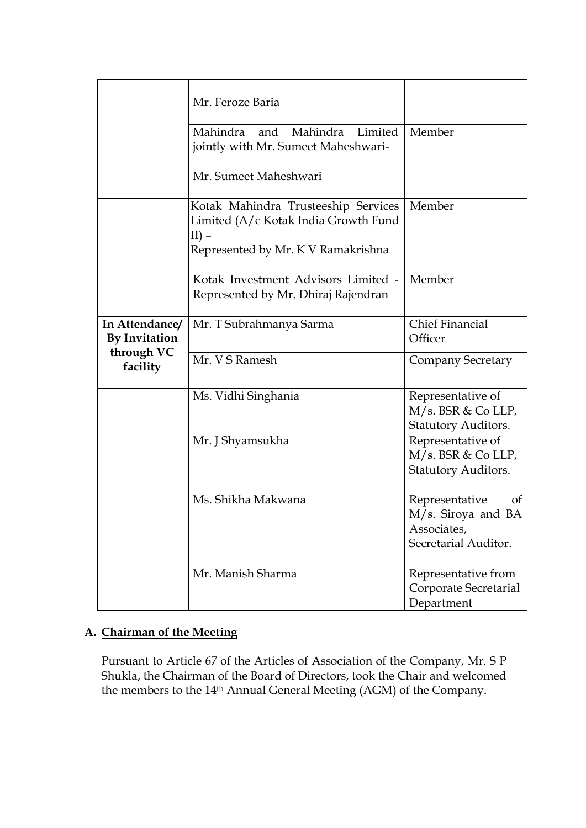|                                        | Mr. Feroze Baria                                                                                                              |                                                                                   |
|----------------------------------------|-------------------------------------------------------------------------------------------------------------------------------|-----------------------------------------------------------------------------------|
|                                        | Mahindra and Mahindra Limited<br>jointly with Mr. Sumeet Maheshwari-                                                          | Member                                                                            |
|                                        | Mr. Sumeet Maheshwari                                                                                                         |                                                                                   |
|                                        | Kotak Mahindra Trusteeship Services<br>Limited (A/c Kotak India Growth Fund<br>$II$ ) –<br>Represented by Mr. K V Ramakrishna | Member                                                                            |
|                                        | Kotak Investment Advisors Limited -<br>Represented by Mr. Dhiraj Rajendran                                                    | Member                                                                            |
| In Attendance/<br><b>By Invitation</b> | Mr. T Subrahmanya Sarma                                                                                                       | <b>Chief Financial</b><br>Officer                                                 |
| through VC<br>facility                 | Mr. V S Ramesh                                                                                                                | <b>Company Secretary</b>                                                          |
|                                        | Ms. Vidhi Singhania                                                                                                           | Representative of<br>M/s. BSR & Co LLP,<br><b>Statutory Auditors.</b>             |
|                                        | Mr. J Shyamsukha                                                                                                              | Representative of<br>M/s. BSR & Co LLP,<br>Statutory Auditors.                    |
|                                        | Ms. Shikha Makwana                                                                                                            | Representative<br>of<br>M/s. Siroya and BA<br>Associates,<br>Secretarial Auditor. |
|                                        | Mr. Manish Sharma                                                                                                             | Representative from<br>Corporate Secretarial<br>Department                        |

# **A. Chairman of the Meeting**

Pursuant to Article 67 of the Articles of Association of the Company, Mr. S P Shukla, the Chairman of the Board of Directors, took the Chair and welcomed the members to the 14th Annual General Meeting (AGM) of the Company.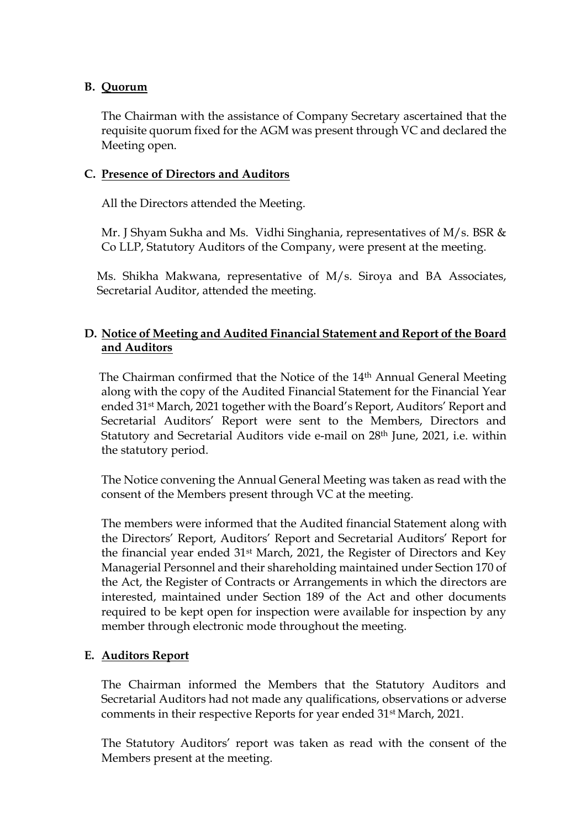## **B. Quorum**

The Chairman with the assistance of Company Secretary ascertained that the requisite quorum fixed for the AGM was present through VC and declared the Meeting open.

## **C. Presence of Directors and Auditors**

All the Directors attended the Meeting.

Mr. J Shyam Sukha and Ms. Vidhi Singhania, representatives of M/s. BSR & Co LLP, Statutory Auditors of the Company, were present at the meeting.

Ms. Shikha Makwana, representative of M/s. Siroya and BA Associates, Secretarial Auditor, attended the meeting.

# **D. Notice of Meeting and Audited Financial Statement and Report of the Board and Auditors**

 The Chairman confirmed that the Notice of the 14th Annual General Meeting along with the copy of the Audited Financial Statement for the Financial Year ended 31st March, 2021 together with the Board's Report, Auditors' Report and Secretarial Auditors' Report were sent to the Members, Directors and Statutory and Secretarial Auditors vide e-mail on 28th June, 2021, i.e. within the statutory period.

The Notice convening the Annual General Meeting was taken as read with the consent of the Members present through VC at the meeting.

The members were informed that the Audited financial Statement along with the Directors' Report, Auditors' Report and Secretarial Auditors' Report for the financial year ended 31st March, 2021, the Register of Directors and Key Managerial Personnel and their shareholding maintained under Section 170 of the Act, the Register of Contracts or Arrangements in which the directors are interested, maintained under Section 189 of the Act and other documents required to be kept open for inspection were available for inspection by any member through electronic mode throughout the meeting.

# **E. Auditors Report**

The Chairman informed the Members that the Statutory Auditors and Secretarial Auditors had not made any qualifications, observations or adverse comments in their respective Reports for year ended 31st March, 2021.

The Statutory Auditors' report was taken as read with the consent of the Members present at the meeting.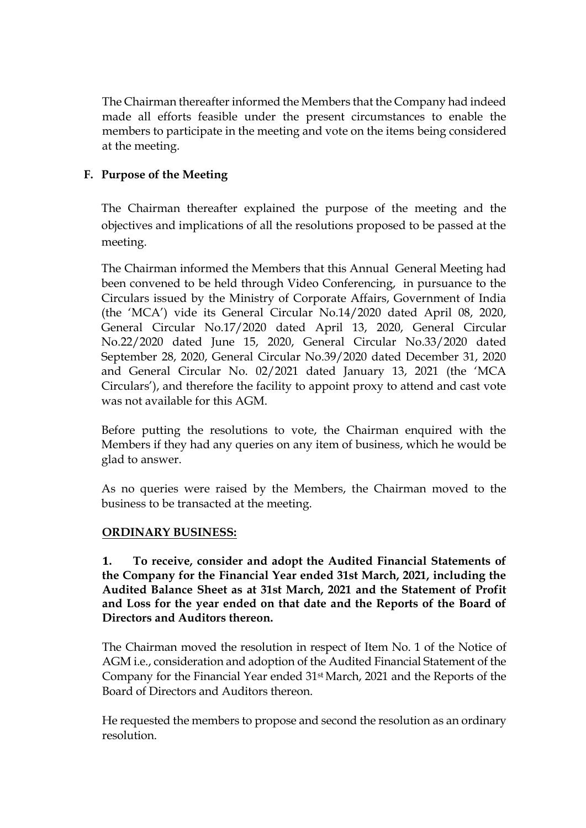The Chairman thereafter informed the Members that the Company had indeed made all efforts feasible under the present circumstances to enable the members to participate in the meeting and vote on the items being considered at the meeting.

# **F. Purpose of the Meeting**

The Chairman thereafter explained the purpose of the meeting and the objectives and implications of all the resolutions proposed to be passed at the meeting.

The Chairman informed the Members that this Annual General Meeting had been convened to be held through Video Conferencing, in pursuance to the Circulars issued by the Ministry of Corporate Affairs, Government of India (the 'MCA') vide its General Circular No.14/2020 dated April 08, 2020, General Circular No.17/2020 dated April 13, 2020, General Circular No.22/2020 dated June 15, 2020, General Circular No.33/2020 dated September 28, 2020, General Circular No.39/2020 dated December 31, 2020 and General Circular No. 02/2021 dated January 13, 2021 (the 'MCA Circulars'), and therefore the facility to appoint proxy to attend and cast vote was not available for this AGM.

Before putting the resolutions to vote, the Chairman enquired with the Members if they had any queries on any item of business, which he would be glad to answer.

As no queries were raised by the Members, the Chairman moved to the business to be transacted at the meeting.

# **ORDINARY BUSINESS:**

**1. To receive, consider and adopt the Audited Financial Statements of the Company for the Financial Year ended 31st March, 2021, including the Audited Balance Sheet as at 31st March, 2021 and the Statement of Profit and Loss for the year ended on that date and the Reports of the Board of Directors and Auditors thereon.**

The Chairman moved the resolution in respect of Item No. 1 of the Notice of AGM i.e., consideration and adoption of the Audited Financial Statement of the Company for the Financial Year ended 31st March, 2021 and the Reports of the Board of Directors and Auditors thereon.

He requested the members to propose and second the resolution as an ordinary resolution.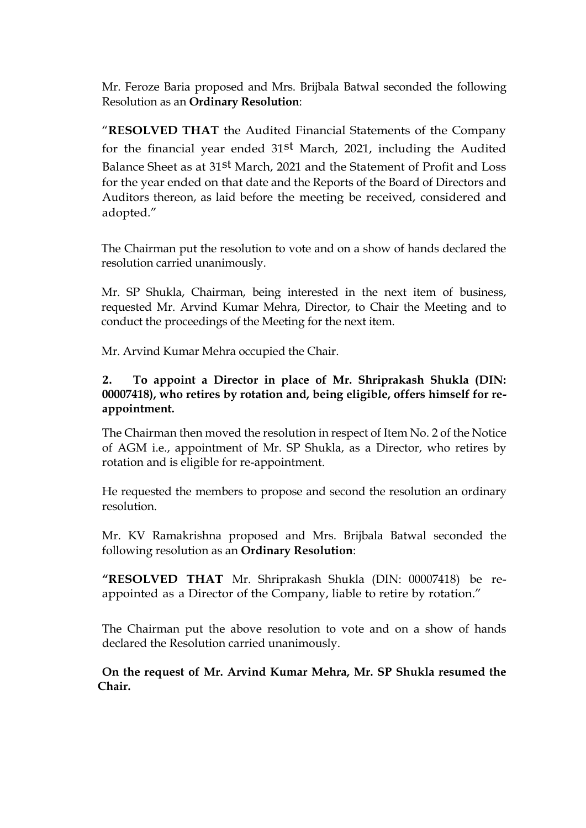Mr. Feroze Baria proposed and Mrs. Brijbala Batwal seconded the following Resolution as an **Ordinary Resolution**:

"**RESOLVED THAT** the Audited Financial Statements of the Company for the financial year ended 31st March, 2021, including the Audited Balance Sheet as at 31st March, 2021 and the Statement of Profit and Loss for the year ended on that date and the Reports of the Board of Directors and Auditors thereon, as laid before the meeting be received, considered and adopted."

The Chairman put the resolution to vote and on a show of hands declared the resolution carried unanimously.

Mr. SP Shukla, Chairman, being interested in the next item of business, requested Mr. Arvind Kumar Mehra, Director, to Chair the Meeting and to conduct the proceedings of the Meeting for the next item.

Mr. Arvind Kumar Mehra occupied the Chair.

# **2. To appoint a Director in place of Mr. Shriprakash Shukla (DIN: 00007418), who retires by rotation and, being eligible, offers himself for reappointment.**

The Chairman then moved the resolution in respect of Item No. 2 of the Notice of AGM i.e., appointment of Mr. SP Shukla, as a Director, who retires by rotation and is eligible for re-appointment.

He requested the members to propose and second the resolution an ordinary resolution.

Mr. KV Ramakrishna proposed and Mrs. Brijbala Batwal seconded the following resolution as an **Ordinary Resolution**:

**"RESOLVED THAT** Mr. Shriprakash Shukla (DIN: 00007418) be reappointed as a Director of the Company, liable to retire by rotation."

The Chairman put the above resolution to vote and on a show of hands declared the Resolution carried unanimously.

**On the request of Mr. Arvind Kumar Mehra, Mr. SP Shukla resumed the Chair.**